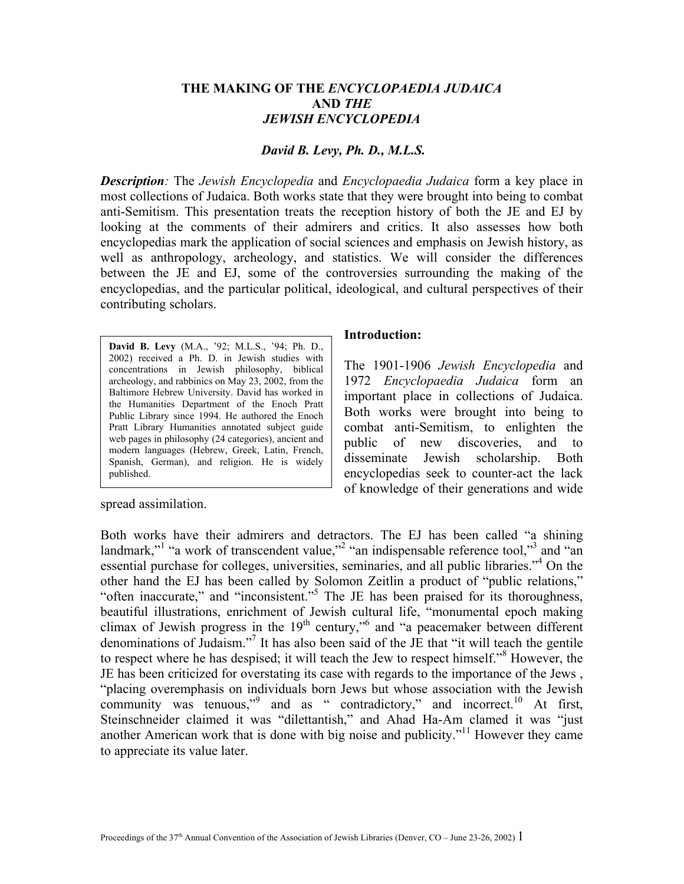## **THE MAKING OF THE** *ENCYCLOPAEDIA JUDAICA*  **AND** *THE JEWISH ENCYCLOPEDIA*

#### *David B. Levy, Ph. D., M.L.S.*

*Description:* The *Jewish Encyclopedia* and *Encyclopaedia Judaica* form a key place in most collections of Judaica. Both works state that they were brought into being to combat anti-Semitism. This presentation treats the reception history of both the JE and EJ by looking at the comments of their admirers and critics. It also assesses how both encyclopedias mark the application of social sciences and emphasis on Jewish history, as well as anthropology, archeology, and statistics. We will consider the differences between the JE and EJ, some of the controversies surrounding the making of the encyclopedias, and the particular political, ideological, and cultural perspectives of their contributing scholars.

**David B. Levy** (M.A., '92; M.L.S., '94; Ph. D., 2002) received a Ph. D. in Jewish studies with concentrations in Jewish philosophy, biblical archeology, and rabbinics on May 23, 2002, from the Baltimore Hebrew University. David has worked in the Humanities Department of the Enoch Pratt Public Library since 1994. He authored the Enoch Pratt Library Humanities annotated subject guide web pages in philosophy (24 categories), ancient and modern languages (Hebrew, Greek, Latin, French, Spanish, German), and religion. He is widely published.

spread assimilation.

#### **Introduction:**

The 1901-1906 *Jewish Encyclopedia* and 1972 *Encyclopaedia Judaica* form an important place in collections of Judaica. Both works were brought into being to combat anti-Semitism, to enlighten the public of new discoveries, and to disseminate Jewish scholarship. Both encyclopedias seek to counter-act the lack of knowledge of their generations and wide

Both works have their admirers and detractors. The EJ has been called "a shining landmark,"<sup>1</sup>"a work of transcendent value,"<sup>2</sup> ["](#page-20-0)an indispensable reference tool,"<sup>3</sup> [a](#page-20-0)nd "an essential purchase for colleges, universities, seminaries, and all public libraries."<sup>[4](#page-20-1)</sup> On the other hand the EJ has been called by Solomon Zeitlin a product of "public relations," "often inaccurate," and "inconsistent."<sup>5</sup> The JE has been praised for its thoroughness, beautiful illustrations, enrichment of Jewish cultural life, "monumental epoch making climax of Jewish progress in the  $19<sup>th</sup>$  century,"<sup>[6](#page-20-3)</sup> and "a peacemaker between different denominations of Judaism."<sup>[7](#page-20-4)</sup> It has also been said of the JE that "it will teach the gentile to respect where he has despised; it will teach the Jew to respect himself."<sup>[8](#page-20-5)</sup> However, the JE has been criticized for overstating its case with regards to the importance of the Jews , "placing overemphasis on individuals born Jews but whose association with the Jewish community was tenuous,"<sup>[9](#page-20-6)</sup> and as " contradictory," and incorrect.<sup>10</sup> At first, Steinschneider claimed it was "dilettantish," and Ahad Ha-Am clamed it was "just another American work that is done with big noise and publicity."[11](#page-20-7) However they came to appreciate its value later.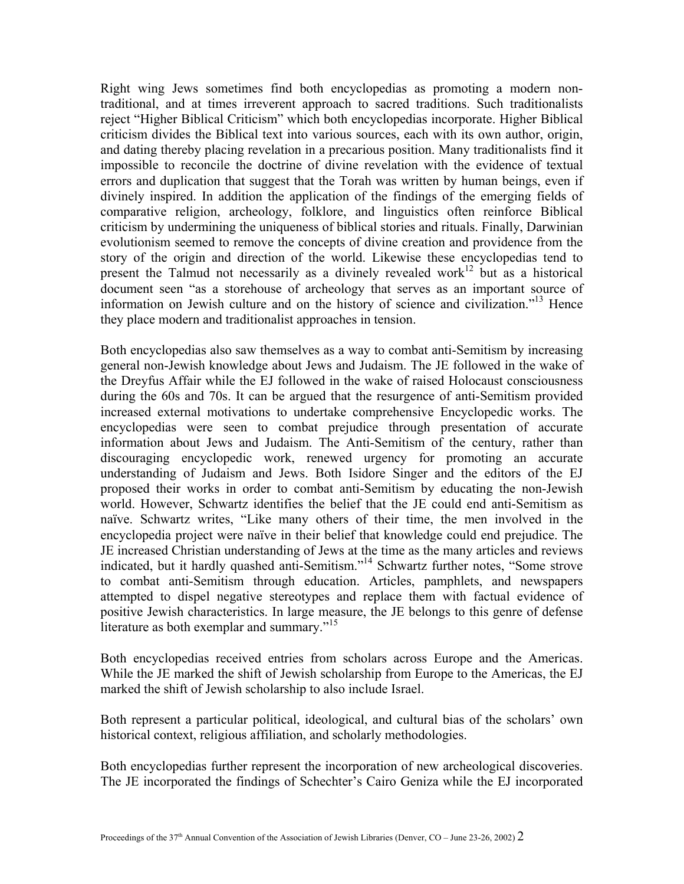Right wing Jews sometimes find both encyclopedias as promoting a modern nontraditional, and at times irreverent approach to sacred traditions. Such traditionalists reject "Higher Biblical Criticism" which both encyclopedias incorporate. Higher Biblical criticism divides the Biblical text into various sources, each with its own author, origin, and dating thereby placing revelation in a precarious position. Many traditionalists find it impossible to reconcile the doctrine of divine revelation with the evidence of textual errors and duplication that suggest that the Torah was written by human beings, even if divinely inspired. In addition the application of the findings of the emerging fields of comparative religion, archeology, folklore, and linguistics often reinforce Biblical criticism by undermining the uniqueness of biblical stories and rituals. Finally, Darwinian evolutionism seemed to remove the concepts of divine creation and providence from the story of the origin and direction of the world. Likewise these encyclopedias tend to present the Talmud not necessarily as a divinely revealed work<sup>12</sup> but as a historical document seen "as a storehouse of archeology that serves as an important source of information on Jewish culture and on the history of science and civilization."<sup>13</sup> Hence they place modern and traditionalist approaches in tension.

Both encyclopedias also saw themselves as a way to combat anti-Semitism by increasing general non-Jewish knowledge about Jews and Judaism. The JE followed in the wake of the Dreyfus Affair while the EJ followed in the wake of raised Holocaust consciousness during the 60s and 70s. It can be argued that the resurgence of anti-Semitism provided increased external motivations to undertake comprehensive Encyclopedic works. The encyclopedias were seen to combat prejudice through presentation of accurate information about Jews and Judaism. The Anti-Semitism of the century, rather than discouraging encyclopedic work, renewed urgency for promoting an accurate understanding of Judaism and Jews. Both Isidore Singer and the editors of the EJ proposed their works in order to combat anti-Semitism by educating the non-Jewish world. However, Schwartz identifies the belief that the JE could end anti-Semitism as naïve. Schwartz writes, "Like many others of their time, the men involved in the encyclopedia project were naïve in their belief that knowledge could end prejudice. The JE increased Christian understanding of Jews at the time as the many articles and reviews indicated, but it hardly quashed anti-Semitism."<sup>14</sup> Schwartz further notes, "Some strove to combat anti-Semitism through education. Articles, pamphlets, and newspapers attempted to dispel negative stereotypes and replace them with factual evidence of positive Jewish characteristics. In large measure, the JE belongs to this genre of defense literature as both exemplar and summary."<sup>[15](#page-20-4)</sup>

Both encyclopedias received entries from scholars across Europe and the Americas. While the JE marked the shift of Jewish scholarship from Europe to the Americas, the EJ marked the shift of Jewish scholarship to also include Israel.

Both represent a particular political, ideological, and cultural bias of the scholars' own historical context, religious affiliation, and scholarly methodologies.

Both encyclopedias further represent the incorporation of new archeological discoveries. The JE incorporated the findings of Schechter's Cairo Geniza while the EJ incorporated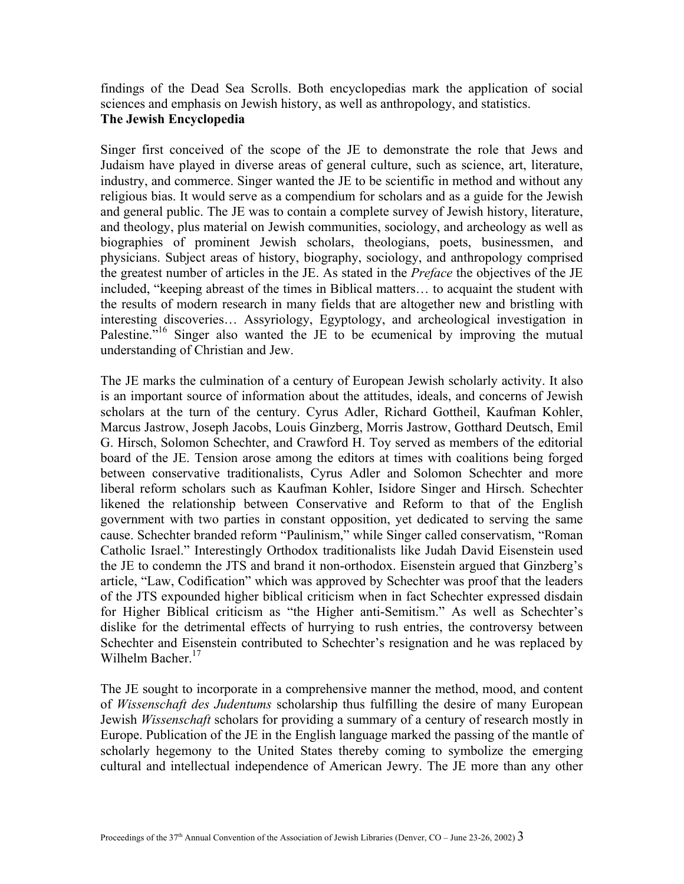findings of the Dead Sea Scrolls. Both encyclopedias mark the application of social sciences and emphasis on Jewish history, as well as anthropology, and statistics.

# **The Jewish Encyclopedia**

Singer first conceived of the scope of the JE to demonstrate the role that Jews and Judaism have played in diverse areas of general culture, such as science, art, literature, industry, and commerce. Singer wanted the JE to be scientific in method and without any religious bias. It would serve as a compendium for scholars and as a guide for the Jewish and general public. The JE was to contain a complete survey of Jewish history, literature, and theology, plus material on Jewish communities, sociology, and archeology as well as biographies of prominent Jewish scholars, theologians, poets, businessmen, and physicians. Subject areas of history, biography, sociology, and anthropology comprised the greatest number of articles in the JE. As stated in the *Preface* the objectives of the JE included, "keeping abreast of the times in Biblical matters… to acquaint the student with the results of modern research in many fields that are altogether new and bristling with interesting discoveries… Assyriology, Egyptology, and archeological investigation in Palestine.<sup>"16</sup> Singer also wanted the JE to be ecumenical by improving the mutual understanding of Christian and Jew.

The JE marks the culmination of a century of European Jewish scholarly activity. It also is an important source of information about the attitudes, ideals, and concerns of Jewish scholars at the turn of the century. Cyrus Adler, Richard Gottheil, Kaufman Kohler, Marcus Jastrow, Joseph Jacobs, Louis Ginzberg, Morris Jastrow, Gotthard Deutsch, Emil G. Hirsch, Solomon Schechter, and Crawford H. Toy served as members of the editorial board of the JE. Tension arose among the editors at times with coalitions being forged between conservative traditionalists, Cyrus Adler and Solomon Schechter and more liberal reform scholars such as Kaufman Kohler, Isidore Singer and Hirsch. Schechter likened the relationship between Conservative and Reform to that of the English government with two parties in constant opposition, yet dedicated to serving the same cause. Schechter branded reform "Paulinism," while Singer called conservatism, "Roman Catholic Israel." Interestingly Orthodox traditionalists like Judah David Eisenstein used the JE to condemn the JTS and brand it non-orthodox. Eisenstein argued that Ginzberg's article, "Law, Codification" which was approved by Schechter was proof that the leaders of the JTS expounded higher biblical criticism when in fact Schechter expressed disdain for Higher Biblical criticism as "the Higher anti-Semitism." As well as Schechter's dislike for the detrimental effects of hurrying to rush entries, the controversy between Schechter and Eisenstein contributed to Schechter's resignation and he was replaced by Wilhelm Bacher. $17$ 

The JE sought to incorporate in a comprehensive manner the method, mood, and content of *Wissenschaft des Judentums* scholarship thus fulfilling the desire of many European Jewish *Wissenschaft* scholars for providing a summary of a century of research mostly in Europe. Publication of the JE in the English language marked the passing of the mantle of scholarly hegemony to the United States thereby coming to symbolize the emerging cultural and intellectual independence of American Jewry. The JE more than any other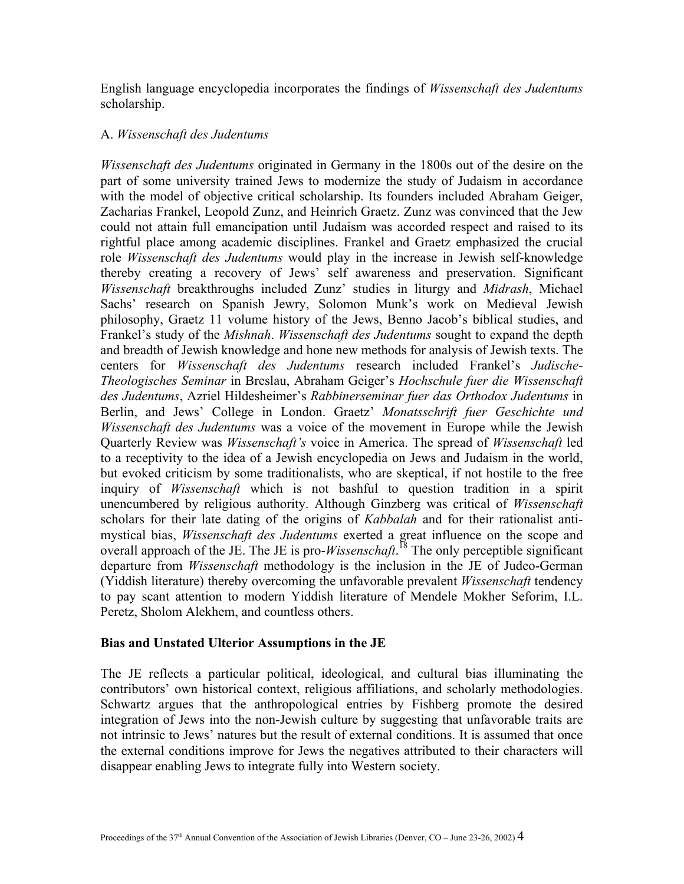English language encyclopedia incorporates the findings of *Wissenschaft des Judentums* scholarship.

## A. *Wissenschaft des Judentums*

*Wissenschaft des Judentums* originated in Germany in the 1800s out of the desire on the part of some university trained Jews to modernize the study of Judaism in accordance with the model of objective critical scholarship. Its founders included Abraham Geiger, Zacharias Frankel, Leopold Zunz, and Heinrich Graetz. Zunz was convinced that the Jew could not attain full emancipation until Judaism was accorded respect and raised to its rightful place among academic disciplines. Frankel and Graetz emphasized the crucial role *Wissenschaft des Judentums* would play in the increase in Jewish self-knowledge thereby creating a recovery of Jews' self awareness and preservation. Significant *Wissenschaft* breakthroughs included Zunz' studies in liturgy and *Midrash*, Michael Sachs' research on Spanish Jewry, Solomon Munk's work on Medieval Jewish philosophy, Graetz 11 volume history of the Jews, Benno Jacob's biblical studies, and Frankel's study of the *Mishnah*. *Wissenschaft des Judentums* sought to expand the depth and breadth of Jewish knowledge and hone new methods for analysis of Jewish texts. The centers for *Wissenschaft des Judentums* research included Frankel's *Judische-Theologisches Seminar* in Breslau, Abraham Geiger's *Hochschule fuer die Wissenschaft des Judentums*, Azriel Hildesheimer's *Rabbinerseminar fuer das Orthodox Judentums* in Berlin, and Jews' College in London. Graetz' *Monatsschrift fuer Geschichte und Wissenschaft des Judentums* was a voice of the movement in Europe while the Jewish Quarterly Review was *Wissenschaft's* voice in America. The spread of *Wissenschaft* led to a receptivity to the idea of a Jewish encyclopedia on Jews and Judaism in the world, but evoked criticism by some traditionalists, who are skeptical, if not hostile to the free inquiry of *Wissenschaft* which is not bashful to question tradition in a spirit unencumbered by religious authority. Although Ginzberg was critical of *Wissenschaft* scholars for their late dating of the origins of *Kabbalah* and for their rationalist antimystical bias, *Wissenschaft des Judentums* exerted a great influence on the scope and overall approach of the JE. The JE is pro-*Wissenschaft*. [18](#page-20-0) The only perceptible significant departure from *Wissenschaft* methodology is the inclusion in the JE of Judeo-German (Yiddish literature) thereby overcoming the unfavorable prevalent *Wissenschaft* tendency to pay scant attention to modern Yiddish literature of Mendele Mokher Seforim, I.L. Peretz, Sholom Alekhem, and countless others.

### **Bias and Unstated Ulterior Assumptions in the JE**

The JE reflects a particular political, ideological, and cultural bias illuminating the contributors' own historical context, religious affiliations, and scholarly methodologies. Schwartz argues that the anthropological entries by Fishberg promote the desired integration of Jews into the non-Jewish culture by suggesting that unfavorable traits are not intrinsic to Jews' natures but the result of external conditions. It is assumed that once the external conditions improve for Jews the negatives attributed to their characters will disappear enabling Jews to integrate fully into Western society.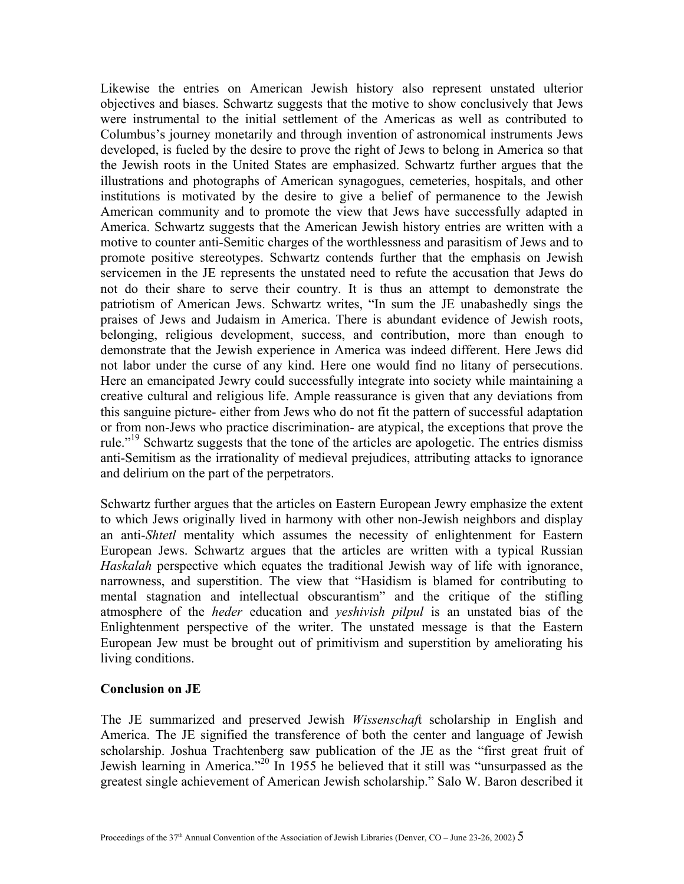Likewise the entries on American Jewish history also represent unstated ulterior objectives and biases. Schwartz suggests that the motive to show conclusively that Jews were instrumental to the initial settlement of the Americas as well as contributed to Columbus's journey monetarily and through invention of astronomical instruments Jews developed, is fueled by the desire to prove the right of Jews to belong in America so that the Jewish roots in the United States are emphasized. Schwartz further argues that the illustrations and photographs of American synagogues, cemeteries, hospitals, and other institutions is motivated by the desire to give a belief of permanence to the Jewish American community and to promote the view that Jews have successfully adapted in America. Schwartz suggests that the American Jewish history entries are written with a motive to counter anti-Semitic charges of the worthlessness and parasitism of Jews and to promote positive stereotypes. Schwartz contends further that the emphasis on Jewish servicemen in the JE represents the unstated need to refute the accusation that Jews do not do their share to serve their country. It is thus an attempt to demonstrate the patriotism of American Jews. Schwartz writes, "In sum the JE unabashedly sings the praises of Jews and Judaism in America. There is abundant evidence of Jewish roots, belonging, religious development, success, and contribution, more than enough to demonstrate that the Jewish experience in America was indeed different. Here Jews did not labor under the curse of any kind. Here one would find no litany of persecutions. Here an emancipated Jewry could successfully integrate into society while maintaining a creative cultural and religious life. Ample reassurance is given that any deviations from this sanguine picture- either from Jews who do not fit the pattern of successful adaptation or from non-Jews who practice discrimination- are atypical, the exceptions that prove the rule."<sup>19</sup> Schwartz suggests that the tone of the articles are apologetic. The entries dismiss anti-Semitism as the irrationality of medieval prejudices, attributing attacks to ignorance and delirium on the part of the perpetrators.

Schwartz further argues that the articles on Eastern European Jewry emphasize the extent to which Jews originally lived in harmony with other non-Jewish neighbors and display an anti-*Shtetl* mentality which assumes the necessity of enlightenment for Eastern European Jews. Schwartz argues that the articles are written with a typical Russian *Haskalah* perspective which equates the traditional Jewish way of life with ignorance, narrowness, and superstition. The view that "Hasidism is blamed for contributing to mental stagnation and intellectual obscurantism" and the critique of the stifling atmosphere of the *heder* education and *yeshivish pilpul* is an unstated bias of the Enlightenment perspective of the writer. The unstated message is that the Eastern European Jew must be brought out of primitivism and superstition by ameliorating his living conditions.

### **Conclusion on JE**

The JE summarized and preserved Jewish *Wissenschaf*t scholarship in English and America. The JE signified the transference of both the center and language of Jewish scholarship. Joshua Trachtenberg saw publication of the JE as the "first great fruit of Jewish learning in America.["20](#page-20-12) In 1955 he believed that it still was "unsurpassed as the greatest single achievement of American Jewish scholarship." Salo W. Baron described it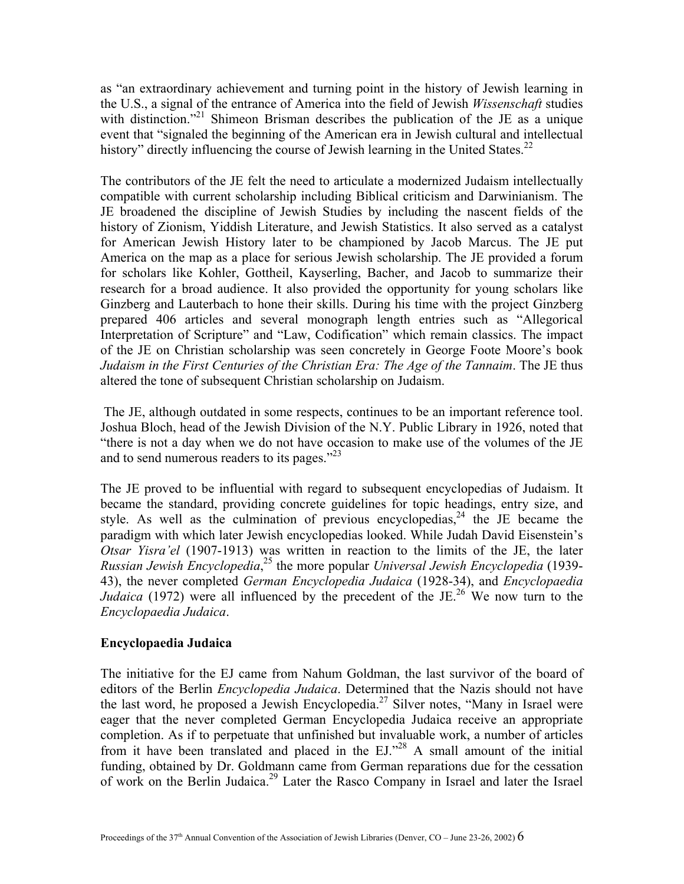as "an extraordinary achievement and turning point in the history of Jewish learning in the U.S., a signal of the entrance of America into the field of Jewish *Wissenschaft* studies with distinction."<sup>21</sup> Shimeon Brisman describes the publication of the JE as a unique event that "signaled the beginning of the American era in Jewish cultural and intellectual history" directly influencing the course of Jewish learning in the United States.<sup>[22](#page-20-14)</sup>

The contributors of the JE felt the need to articulate a modernized Judaism intellectually compatible with current scholarship including Biblical criticism and Darwinianism. The JE broadened the discipline of Jewish Studies by including the nascent fields of the history of Zionism, Yiddish Literature, and Jewish Statistics. It also served as a catalyst for American Jewish History later to be championed by Jacob Marcus. The JE put America on the map as a place for serious Jewish scholarship. The JE provided a forum for scholars like Kohler, Gottheil, Kayserling, Bacher, and Jacob to summarize their research for a broad audience. It also provided the opportunity for young scholars like Ginzberg and Lauterbach to hone their skills. During his time with the project Ginzberg prepared 406 articles and several monograph length entries such as "Allegorical Interpretation of Scripture" and "Law, Codification" which remain classics. The impact of the JE on Christian scholarship was seen concretely in George Foote Moore's book *Judaism in the First Centuries of the Christian Era: The Age of the Tannaim*. The JE thus altered the tone of subsequent Christian scholarship on Judaism.

The JE, although outdated in some respects, continues to be an important reference tool. Joshua Bloch, head of the Jewish Division of the N.Y. Public Library in 1926, noted that "there is not a day when we do not have occasion to make use of the volumes of the JE and to send numerous readers to its pages."<sup>[23](#page-20-15)</sup>

The JE proved to be influential with regard to subsequent encyclopedias of Judaism. It became the standard, providing concrete guidelines for topic headings, entry size, and style. As well as the culmination of previous encyclopedias,  $24$  the JE became the paradigm with which later Jewish encyclopedias looked. While Judah David Eisenstein's *Otsar Yisra'el* (1907-1913) was written in reaction to the limits of the JE, the later *Russian Jewish Encyclopedia*, [25](#page-20-1) the more popular *Universal Jewish Encyclopedia* (1939- 43), the never completed *German Encyclopedia Judaica* (1928-34), and *Encyclopaedia Judaica* (1972) were all influenced by the precedent of the JE.<sup>26</sup> We now turn to the *Encyclopaedia Judaica*.

### **Encyclopaedia Judaica**

The initiative for the EJ came from Nahum Goldman, the last survivor of the board of editors of the Berlin *Encyclopedia Judaica*. Determined that the Nazis should not have the last word, he proposed a Jewish Encyclopedia.<sup>27</sup> Silver notes, "Many in Israel were eager that the never completed German Encyclopedia Judaica receive an appropriate completion. As if to perpetuate that unfinished but invaluable work, a number of articles from it have been translated and placed in the EJ.["28](#page-20-17) A small amount of the initial funding, obtained by Dr. Goldmann came from German reparations due for the cessation of work on the Berlin Judaica[.29](#page-20-18) Later the Rasco Company in Israel and later the Israel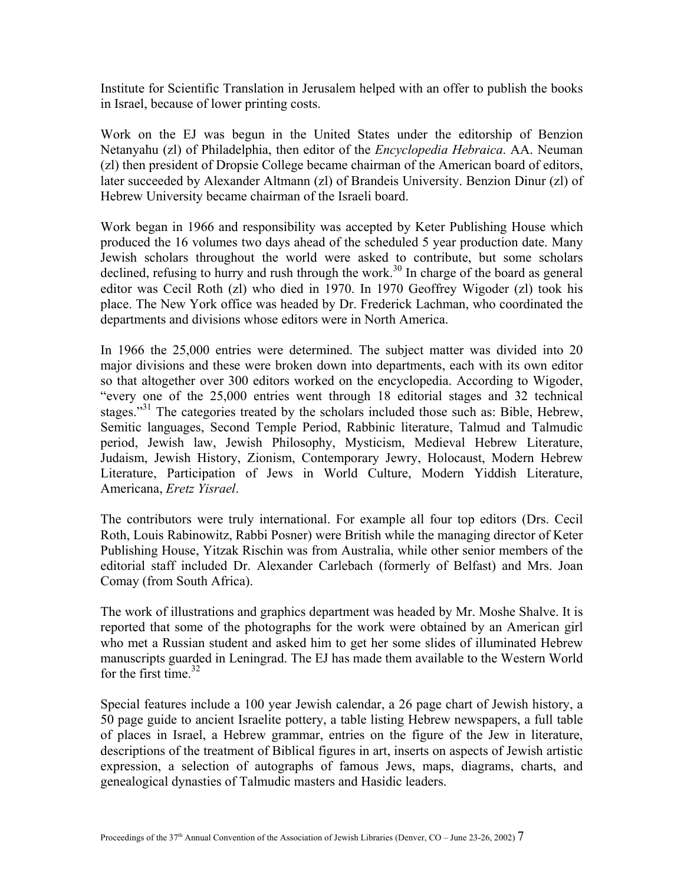Institute for Scientific Translation in Jerusalem helped with an offer to publish the books in Israel, because of lower printing costs.

Work on the EJ was begun in the United States under the editorship of Benzion Netanyahu (zl) of Philadelphia, then editor of the *Encyclopedia Hebraica*. AA. Neuman (zl) then president of Dropsie College became chairman of the American board of editors, later succeeded by Alexander Altmann (zl) of Brandeis University. Benzion Dinur (zl) of Hebrew University became chairman of the Israeli board.

Work began in 1966 and responsibility was accepted by Keter Publishing House which produced the 16 volumes two days ahead of the scheduled 5 year production date. Many Jewish scholars throughout the world were asked to contribute, but some scholars declined, refusing to hurry and rush through the work.<sup>30</sup> In charge of the board as general editor was Cecil Roth (zl) who died in 1970. In 1970 Geoffrey Wigoder (zl) took his place. The New York office was headed by Dr. Frederick Lachman, who coordinated the departments and divisions whose editors were in North America.

In 1966 the 25,000 entries were determined. The subject matter was divided into 20 major divisions and these were broken down into departments, each with its own editor so that altogether over 300 editors worked on the encyclopedia. According to Wigoder, "every one of the 25,000 entries went through 18 editorial stages and 32 technical stages."<sup>31</sup> The categories treated by the scholars included those such as: Bible, Hebrew, Semitic languages, Second Temple Period, Rabbinic literature, Talmud and Talmudic period, Jewish law, Jewish Philosophy, Mysticism, Medieval Hebrew Literature, Judaism, Jewish History, Zionism, Contemporary Jewry, Holocaust, Modern Hebrew Literature, Participation of Jews in World Culture, Modern Yiddish Literature, Americana, *Eretz Yisrael*.

The contributors were truly international. For example all four top editors (Drs. Cecil Roth, Louis Rabinowitz, Rabbi Posner) were British while the managing director of Keter Publishing House, Yitzak Rischin was from Australia, while other senior members of the editorial staff included Dr. Alexander Carlebach (formerly of Belfast) and Mrs. Joan Comay (from South Africa).

The work of illustrations and graphics department was headed by Mr. Moshe Shalve. It is reported that some of the photographs for the work were obtained by an American girl who met a Russian student and asked him to get her some slides of illuminated Hebrew manuscripts guarded in Leningrad. The EJ has made them available to the Western World for the first time.  $32$ 

Special features include a 100 year Jewish calendar, a 26 page chart of Jewish history, a 50 page guide to ancient Israelite pottery, a table listing Hebrew newspapers, a full table of places in Israel, a Hebrew grammar, entries on the figure of the Jew in literature, descriptions of the treatment of Biblical figures in art, inserts on aspects of Jewish artistic expression, a selection of autographs of famous Jews, maps, diagrams, charts, and genealogical dynasties of Talmudic masters and Hasidic leaders.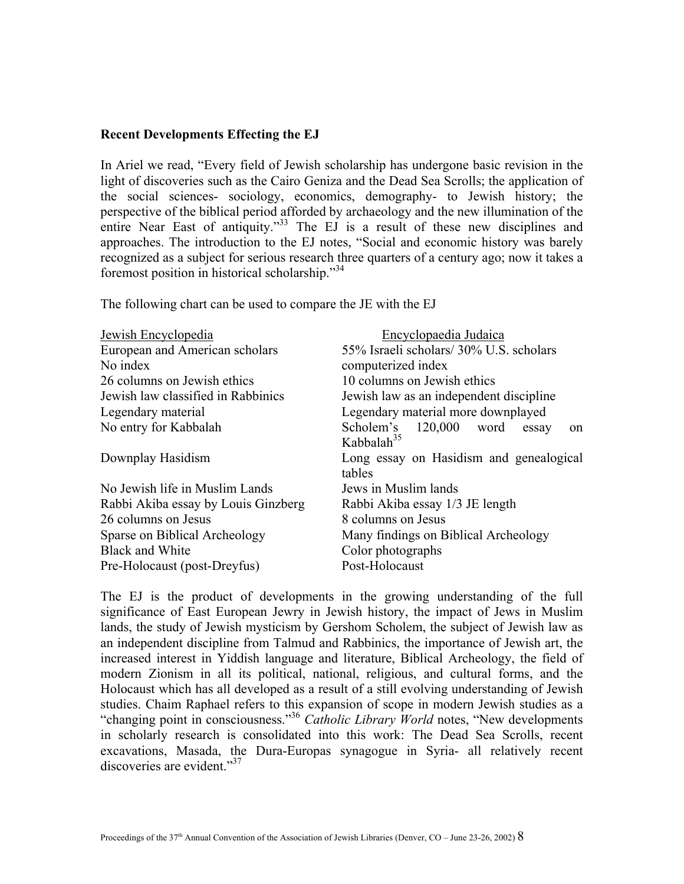#### **Recent Developments Effecting the EJ**

In Ariel we read, "Every field of Jewish scholarship has undergone basic revision in the light of discoveries such as the Cairo Geniza and the Dead Sea Scrolls; the application of the social sciences- sociology, economics, demography- to Jewish history; the perspective of the biblical period afforded by archaeology and the new illumination of the entire Near East of antiquity."<sup>33</sup> The EJ is a result of these new disciplines and approaches. The introduction to the EJ notes, "Social and economic history was barely recognized as a subject for serious research three quarters of a century ago; now it takes a foremost position in historical scholarship."[34](#page-20-22)

The following chart can be used to compare the JE with the EJ

| Jewish Encyclopedia                 | Encyclopaedia Judaica                             |
|-------------------------------------|---------------------------------------------------|
| European and American scholars      | 55% Israeli scholars/ 30% U.S. scholars           |
| No index                            | computerized index                                |
| 26 columns on Jewish ethics         | 10 columns on Jewish ethics                       |
| Jewish law classified in Rabbinics  | Jewish law as an independent discipline           |
| Legendary material                  | Legendary material more downplayed                |
| No entry for Kabbalah               | Scholem's 120,000 word<br>essay<br>on             |
|                                     | Kabbalah <sup>35</sup>                            |
| Downplay Hasidism                   | Long essay on Hasidism and genealogical<br>tables |
| No Jewish life in Muslim Lands      | Jews in Muslim lands                              |
| Rabbi Akiba essay by Louis Ginzberg | Rabbi Akiba essay 1/3 JE length                   |
| 26 columns on Jesus                 | 8 columns on Jesus                                |
| Sparse on Biblical Archeology       | Many findings on Biblical Archeology              |
| <b>Black and White</b>              | Color photographs                                 |
| Pre-Holocaust (post-Dreyfus)        | Post-Holocaust                                    |

The EJ is the product of developments in the growing understanding of the full significance of East European Jewry in Jewish history, the impact of Jews in Muslim lands, the study of Jewish mysticism by Gershom Scholem, the subject of Jewish law as an independent discipline from Talmud and Rabbinics, the importance of Jewish art, the increased interest in Yiddish language and literature, Biblical Archeology, the field of modern Zionism in all its political, national, religious, and cultural forms, and the Holocaust which has all developed as a result of a still evolving understanding of Jewish studies. Chaim Raphael refers to this expansion of scope in modern Jewish studies as a "changing point in consciousness."[36](#page-20-24) *Catholic Library World* notes, "New developments in scholarly research is consolidated into this work: The Dead Sea Scrolls, recent excavations, Masada, the Dura-Europas synagogue in Syria- all relatively recent discoveries are evident."<sup>[37](#page-20-18)</sup>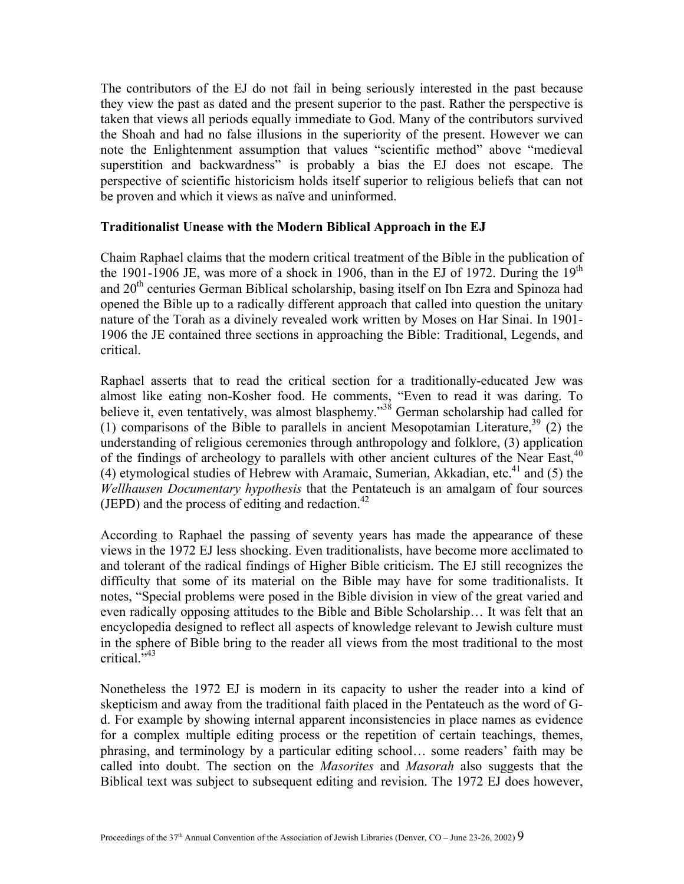The contributors of the EJ do not fail in being seriously interested in the past because they view the past as dated and the present superior to the past. Rather the perspective is taken that views all periods equally immediate to God. Many of the contributors survived the Shoah and had no false illusions in the superiority of the present. However we can note the Enlightenment assumption that values "scientific method" above "medieval superstition and backwardness" is probably a bias the EJ does not escape. The perspective of scientific historicism holds itself superior to religious beliefs that can not be proven and which it views as naïve and uninformed.

### **Traditionalist Unease with the Modern Biblical Approach in the EJ**

Chaim Raphael claims that the modern critical treatment of the Bible in the publication of the 1901-1906 JE, was more of a shock in 1906, than in the EJ of 1972. During the  $19<sup>th</sup>$ and 20<sup>th</sup> centuries German Biblical scholarship, basing itself on Ibn Ezra and Spinoza had opened the Bible up to a radically different approach that called into question the unitary nature of the Torah as a divinely revealed work written by Moses on Har Sinai. In 1901- 1906 the JE contained three sections in approaching the Bible: Traditional, Legends, and critical.

Raphael asserts that to read the critical section for a traditionally-educated Jew was almost like eating non-Kosher food. He comments, "Even to read it was daring. To believe it, even tentatively, was almost blasphemy."<sup>38</sup> German scholarship had called for (1) comparisons of the Bible to parallels in ancient Mesopotamian Literature,  $39(2)$  the understanding of religious ceremonies through anthropology and folklore, (3) application of the findings of archeology to parallels with other ancient cultures of the Near East,  $40$ (4) etymological studies of Hebrew with Aramaic, Sumerian, Akkadian, etc.<sup>41</sup> and (5) the *Wellhausen Documentary hypothesis* that the Pentateuch is an amalgam of four sources (JEPD) and the process of editing and redaction.<sup>[42](#page-20-16)</sup>

According to Raphael the passing of seventy years has made the appearance of these views in the 1972 EJ less shocking. Even traditionalists, have become more acclimated to and tolerant of the radical findings of Higher Bible criticism. The EJ still recognizes the difficulty that some of its material on the Bible may have for some traditionalists. It notes, "Special problems were posed in the Bible division in view of the great varied and even radically opposing attitudes to the Bible and Bible Scholarship… It was felt that an encyclopedia designed to reflect all aspects of knowledge relevant to Jewish culture must in the sphere of Bible bring to the reader all views from the most traditional to the most critical. $^{7,43}$  $^{7,43}$  $^{7,43}$ 

Nonetheless the 1972 EJ is modern in its capacity to usher the reader into a kind of skepticism and away from the traditional faith placed in the Pentateuch as the word of Gd. For example by showing internal apparent inconsistencies in place names as evidence for a complex multiple editing process or the repetition of certain teachings, themes, phrasing, and terminology by a particular editing school… some readers' faith may be called into doubt. The section on the *Masorites* and *Masorah* also suggests that the Biblical text was subject to subsequent editing and revision. The 1972 EJ does however,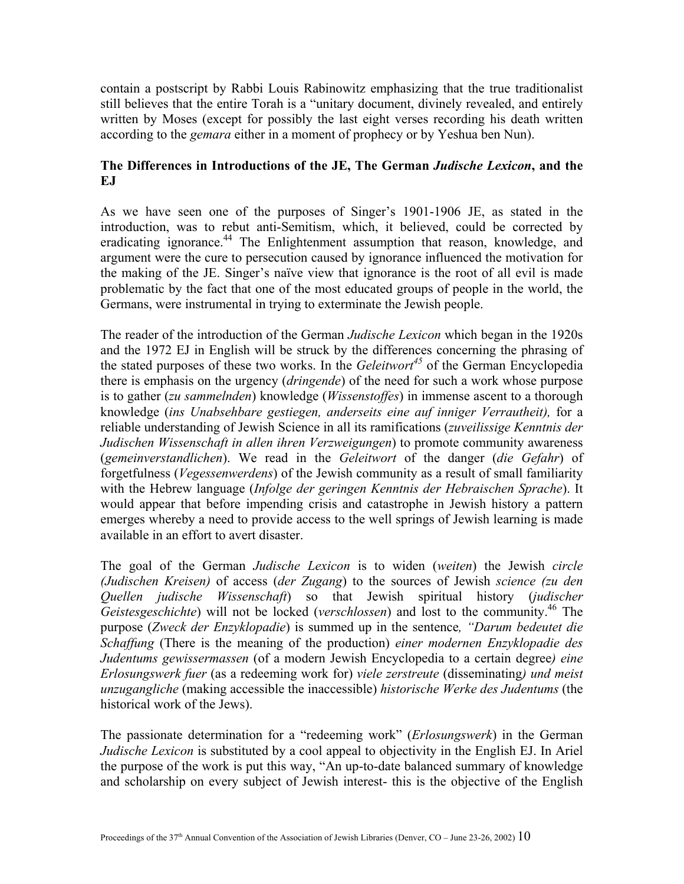contain a postscript by Rabbi Louis Rabinowitz emphasizing that the true traditionalist still believes that the entire Torah is a "unitary document, divinely revealed, and entirely written by Moses (except for possibly the last eight verses recording his death written according to the *gemara* either in a moment of prophecy or by Yeshua ben Nun).

# **The Differences in Introductions of the JE, The German** *Judische Lexicon***, and the EJ**

As we have seen one of the purposes of Singer's 1901-1906 JE, as stated in the introduction, was to rebut anti-Semitism, which, it believed, could be corrected by eradicating ignorance.<sup>44</sup> The Enlightenment assumption that reason, knowledge, and argument were the cure to persecution caused by ignorance influenced the motivation for the making of the JE. Singer's naïve view that ignorance is the root of all evil is made problematic by the fact that one of the most educated groups of people in the world, the Germans, were instrumental in trying to exterminate the Jewish people.

The reader of the introduction of the German *Judische Lexicon* which began in the 1920s and the 1972 EJ in English will be struck by the differences concerning the phrasing of the stated purposes of these two works. In the *Geleitwort [45](#page-20-28)* of the German Encyclopedia there is emphasis on the urgency (*dringende*) of the need for such a work whose purpose is to gather (*zu sammelnden*) knowledge (*Wissenstoffes*) in immense ascent to a thorough knowledge (*ins Unabsehbare gestiegen, anderseits eine auf inniger Verrautheit),* for a reliable understanding of Jewish Science in all its ramifications (*zuveilissige Kenntnis der Judischen Wissenschaft in allen ihren Verzweigungen*) to promote community awareness (*gemeinverstandlichen*). We read in the *Geleitwort* of the danger (*die Gefahr*) of forgetfulness (*Vegessenwerdens*) of the Jewish community as a result of small familiarity with the Hebrew language (*Infolge der geringen Kenntnis der Hebraischen Sprache*). It would appear that before impending crisis and catastrophe in Jewish history a pattern emerges whereby a need to provide access to the well springs of Jewish learning is made available in an effort to avert disaster.

The goal of the German *Judische Lexicon* is to widen (*weiten*) the Jewish *circle (Judischen Kreisen)* of access (*der Zugang*) to the sources of Jewish *science (zu den Quellen judische Wissenschaft*) so that Jewish spiritual history (*judischer Geistesgeschichte*) will not be locked *(verschlossen)* and lost to the community.<sup>46</sup> The purpose (*Zweck der Enzyklopadie*) is summed up in the sentence*, "Darum bedeutet die Schaffung* (There is the meaning of the production) *einer modernen Enzyklopadie des Judentums gewissermassen* (of a modern Jewish Encyclopedia to a certain degree*) eine Erlosungswerk fuer* (as a redeeming work for) *viele zerstreute* (disseminating*) und meist unzugangliche* (making accessible the inaccessible) *historische Werke des Judentums* (the historical work of the Jews).

The passionate determination for a "redeeming work" (*Erlosungswerk*) in the German *Judische Lexicon* is substituted by a cool appeal to objectivity in the English EJ. In Ariel the purpose of the work is put this way, "An up-to-date balanced summary of knowledge and scholarship on every subject of Jewish interest- this is the objective of the English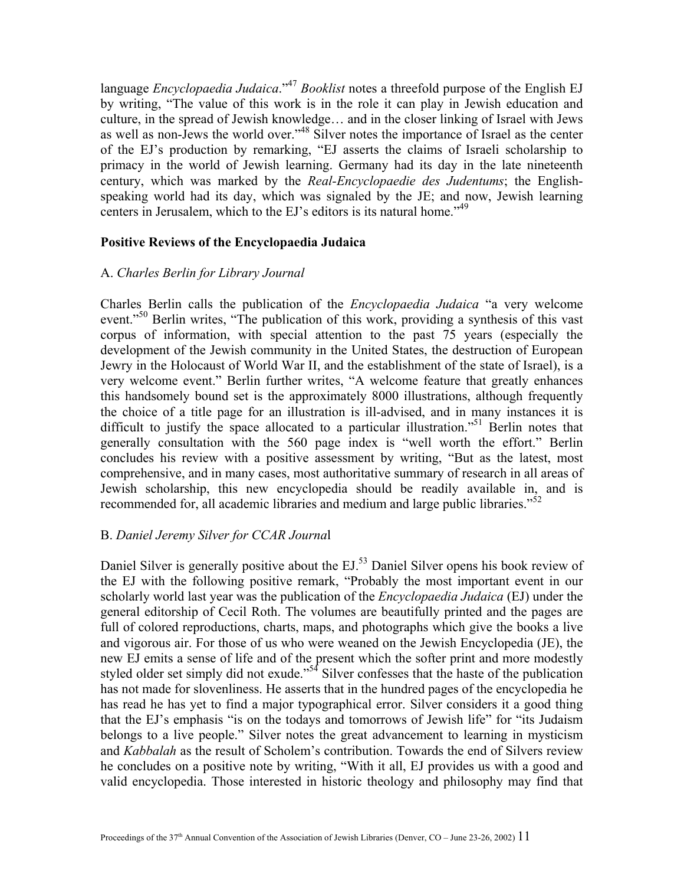language *Encyclopaedia Judaica*."[47](#page-20-30) *Booklist* notes a threefold purpose of the English EJ by writing, "The value of this work is in the role it can play in Jewish education and culture, in the spread of Jewish knowledge… and in the closer linking of Israel with Jews as well as non-Jews the world over.["48](#page-20-31) Silver notes the importance of Israel as the center of the EJ's production by remarking, "EJ asserts the claims of Israeli scholarship to primacy in the world of Jewish learning. Germany had its day in the late nineteenth century, which was marked by the *Real-Encyclopaedie des Judentums*; the Englishspeaking world had its day, which was signaled by the JE; and now, Jewish learning centers in Jerusalem, which to the EJ's editors is its natural home.<sup>1[49](#page-20-21)</sup>

## **Positive Reviews of the Encyclopaedia Judaica**

## A. *Charles Berlin for Library Journal*

Charles Berlin calls the publication of the *Encyclopaedia Judaica* "a very welcome event."<sup>50</sup> Berlin writes, "The publication of this work, providing a synthesis of this vast corpus of information, with special attention to the past 75 years (especially the development of the Jewish community in the United States, the destruction of European Jewry in the Holocaust of World War II, and the establishment of the state of Israel), is a very welcome event." Berlin further writes, "A welcome feature that greatly enhances this handsomely bound set is the approximately 8000 illustrations, although frequently the choice of a title page for an illustration is ill-advised, and in many instances it is difficult to justify the space allocated to a particular illustration.<sup> $51$ </sup> Berlin notes that generally consultation with the 560 page index is "well worth the effort." Berlin concludes his review with a positive assessment by writing, "But as the latest, most comprehensive, and in many cases, most authoritative summary of research in all areas of Jewish scholarship, this new encyclopedia should be readily available in, and is recommended for, all academic libraries and medium and large public libraries."<sup>[52](#page-20-16)</sup>

## B. *Daniel Jeremy Silver for CCAR Journa*l

Daniel Silver is generally positive about the EJ.<sup>53</sup> Daniel Silver opens his book review of the EJ with the following positive remark, "Probably the most important event in our scholarly world last year was the publication of the *Encyclopaedia Judaica* (EJ) under the general editorship of Cecil Roth. The volumes are beautifully printed and the pages are full of colored reproductions, charts, maps, and photographs which give the books a live and vigorous air. For those of us who were weaned on the Jewish Encyclopedia (JE), the new EJ emits a sense of life and of the present which the softer print and more modestly styled older set simply did not exude."<sup>54</sup> Silver confesses that the haste of the publication has not made for slovenliness. He asserts that in the hundred pages of the encyclopedia he has read he has yet to find a major typographical error. Silver considers it a good thing that the EJ's emphasis "is on the todays and tomorrows of Jewish life" for "its Judaism belongs to a live people." Silver notes the great advancement to learning in mysticism and *Kabbalah* as the result of Scholem's contribution. Towards the end of Silvers review he concludes on a positive note by writing, "With it all, EJ provides us with a good and valid encyclopedia. Those interested in historic theology and philosophy may find that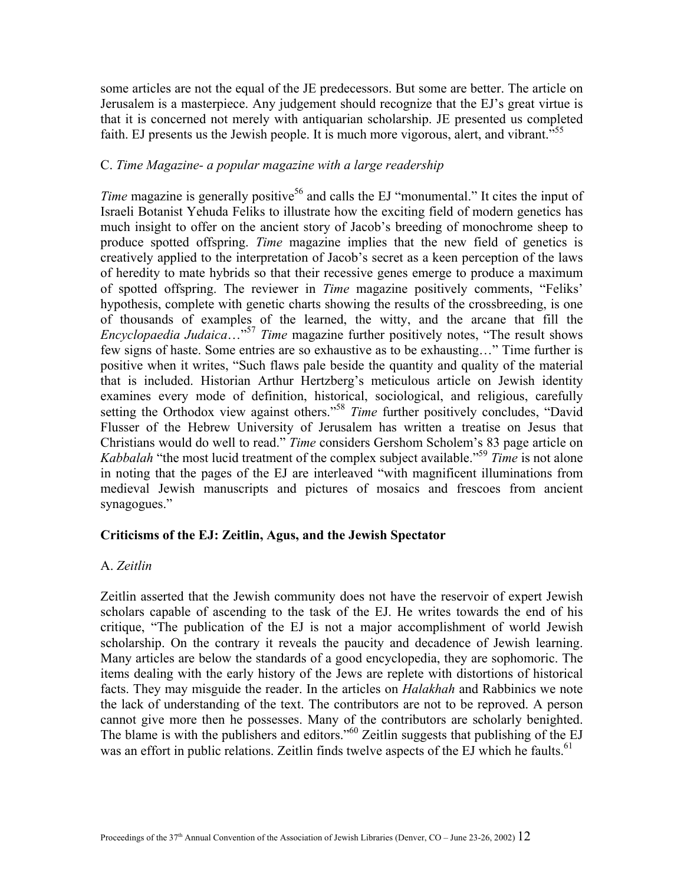some articles are not the equal of the JE predecessors. But some are better. The article on Jerusalem is a masterpiece. Any judgement should recognize that the EJ's great virtue is that it is concerned not merely with antiquarian scholarship. JE presented us completed faith. EJ presents us the Jewish people. It is much more vigorous, alert, and vibrant.<sup>3[55](#page-20-33)</sup>

## C. *Time Magazine- a popular magazine with a large readership*

*Time* magazine is generally positive<sup>56</sup> and calls the EJ "monumental." It cites the input of Israeli Botanist Yehuda Feliks to illustrate how the exciting field of modern genetics has much insight to offer on the ancient story of Jacob's breeding of monochrome sheep to produce spotted offspring. *Time* magazine implies that the new field of genetics is creatively applied to the interpretation of Jacob's secret as a keen perception of the laws of heredity to mate hybrids so that their recessive genes emerge to produce a maximum of spotted offspring. The reviewer in *Time* magazine positively comments, "Feliks' hypothesis, complete with genetic charts showing the results of the crossbreeding, is one of thousands of examples of the learned, the witty, and the arcane that fill the *Encyclopaedia Judaica*...<sup>5[57](#page-20-10)</sup> *Time* magazine further positively notes, "The result shows few signs of haste. Some entries are so exhaustive as to be exhausting…" Time further is positive when it writes, "Such flaws pale beside the quantity and quality of the material that is included. Historian Arthur Hertzberg's meticulous article on Jewish identity examines every mode of definition, historical, sociological, and religious, carefully setting the Orthodox view against others."<sup>58</sup> *Time* further positively concludes, "David Flusser of the Hebrew University of Jerusalem has written a treatise on Jesus that Christians would do well to read." *Time* considers Gershom Scholem's 83 page article on *Kabbalah* "the most lucid treatment of the complex subject available."[59](#page-20-23) *Time* is not alone in noting that the pages of the EJ are interleaved "with magnificent illuminations from medieval Jewish manuscripts and pictures of mosaics and frescoes from ancient synagogues."

### **Criticisms of the EJ: Zeitlin, Agus, and the Jewish Spectator**

### A. *Zeitlin*

Zeitlin asserted that the Jewish community does not have the reservoir of expert Jewish scholars capable of ascending to the task of the EJ. He writes towards the end of his critique, "The publication of the EJ is not a major accomplishment of world Jewish scholarship. On the contrary it reveals the paucity and decadence of Jewish learning. Many articles are below the standards of a good encyclopedia, they are sophomoric. The items dealing with the early history of the Jews are replete with distortions of historical facts. They may misguide the reader. In the articles on *Halakhah* and Rabbinics we note the lack of understanding of the text. The contributors are not to be reproved. A person cannot give more then he possesses. Many of the contributors are scholarly benighted. The blame is with the publishers and editors."<sup>60</sup> Zeitlin suggests that publishing of the EJ was an effort in public relations. Zeitlin finds twelve aspects of the EJ which he faults.<sup>[61](#page-20-12)</sup>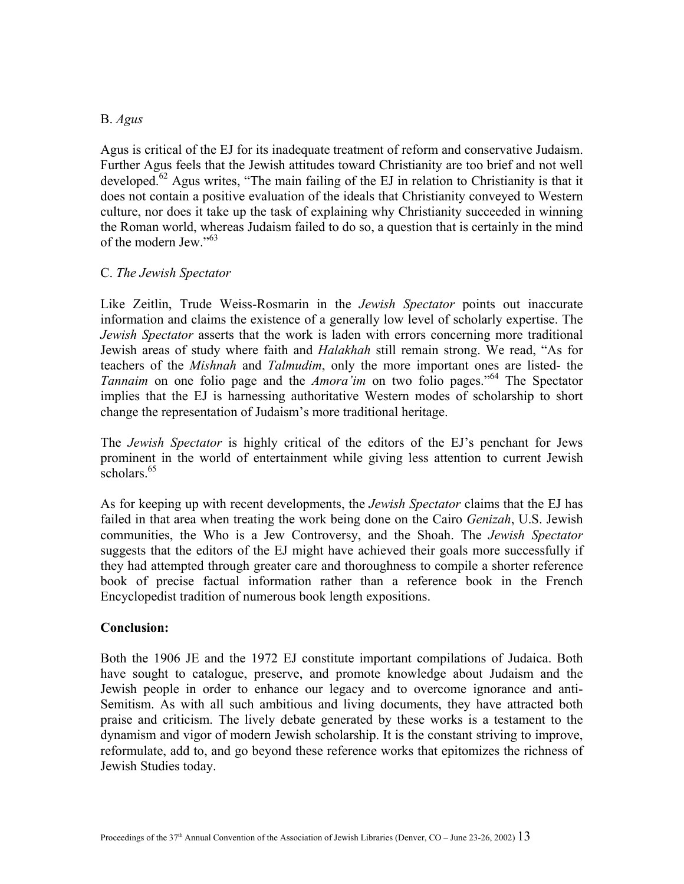## B. *Agus*

Agus is critical of the EJ for its inadequate treatment of reform and conservative Judaism. Further Agus feels that the Jewish attitudes toward Christianity are too brief and not well developed.<sup>62</sup> Agus writes, "The main failing of the EJ in relation to Christianity is that it does not contain a positive evaluation of the ideals that Christianity conveyed to Western culture, nor does it take up the task of explaining why Christianity succeeded in winning the Roman world, whereas Judaism failed to do so, a question that is certainly in the mind of the modern Jew."<sup>[63](#page-20-36)</sup>

## C. *The Jewish Spectator*

Like Zeitlin, Trude Weiss-Rosmarin in the *Jewish Spectator* points out inaccurate information and claims the existence of a generally low level of scholarly expertise. The *Jewish Spectator* asserts that the work is laden with errors concerning more traditional Jewish areas of study where faith and *Halakhah* still remain strong. We read, "As for teachers of the *Mishnah* and *Talmudim*, only the more important ones are listed- the *Tannaim* on one folio page and the *Amora'im* on two folio pages."<sup>64</sup> The Spectator implies that the EJ is harnessing authoritative Western modes of scholarship to short change the representation of Judaism's more traditional heritage.

The *Jewish Spectator* is highly critical of the editors of the EJ's penchant for Jews prominent in the world of entertainment while giving less attention to current Jewish scholars.<sup>65</sup>

As for keeping up with recent developments, the *Jewish Spectator* claims that the EJ has failed in that area when treating the work being done on the Cairo *Genizah*, U.S. Jewish communities, the Who is a Jew Controversy, and the Shoah. The *Jewish Spectator* suggests that the editors of the EJ might have achieved their goals more successfully if they had attempted through greater care and thoroughness to compile a shorter reference book of precise factual information rather than a reference book in the French Encyclopedist tradition of numerous book length expositions.

### **Conclusion:**

Both the 1906 JE and the 1972 EJ constitute important compilations of Judaica. Both have sought to catalogue, preserve, and promote knowledge about Judaism and the Jewish people in order to enhance our legacy and to overcome ignorance and anti-Semitism. As with all such ambitious and living documents, they have attracted both praise and criticism. The lively debate generated by these works is a testament to the dynamism and vigor of modern Jewish scholarship. It is the constant striving to improve, reformulate, add to, and go beyond these reference works that epitomizes the richness of Jewish Studies today.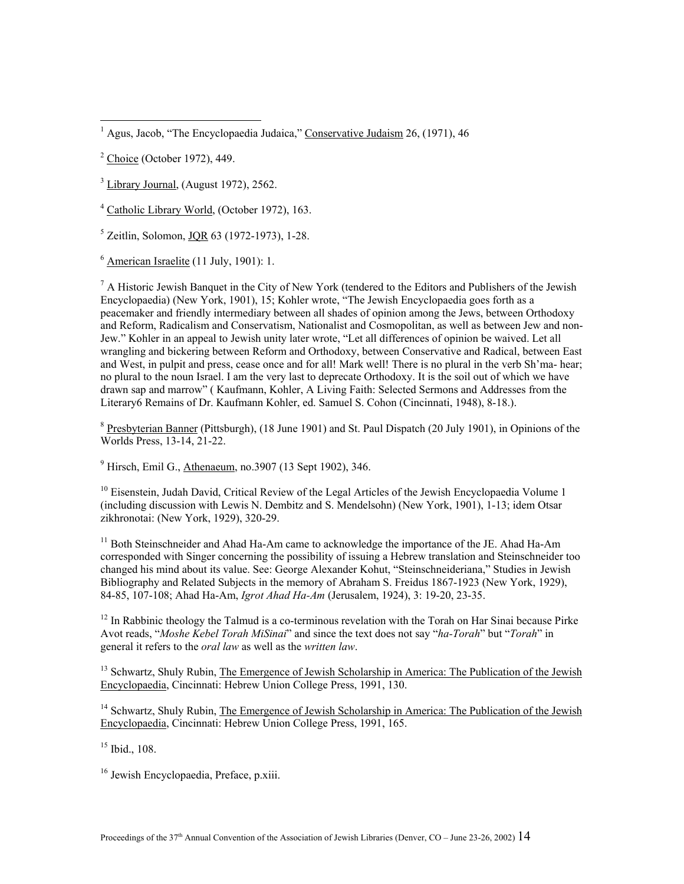$3$  Library Journal, (August 1972), 2562.

<sup>4</sup> Catholic Library World, (October 1972), 163.

<sup>5</sup> Zeitlin, Solomon, <u>JQR</u> 63 (1972-1973), 1-28.

<sup>6</sup> American Israelite (11 July, 1901): 1.

 $<sup>7</sup>$  A Historic Jewish Banquet in the City of New York (tendered to the Editors and Publishers of the Jewish</sup> Encyclopaedia) (New York, 1901), 15; Kohler wrote, "The Jewish Encyclopaedia goes forth as a peacemaker and friendly intermediary between all shades of opinion among the Jews, between Orthodoxy and Reform, Radicalism and Conservatism, Nationalist and Cosmopolitan, as well as between Jew and non-Jew." Kohler in an appeal to Jewish unity later wrote, "Let all differences of opinion be waived. Let all wrangling and bickering between Reform and Orthodoxy, between Conservative and Radical, between East and West, in pulpit and press, cease once and for all! Mark well! There is no plural in the verb Sh'ma- hear; no plural to the noun Israel. I am the very last to deprecate Orthodoxy. It is the soil out of which we have drawn sap and marrow" ( Kaufmann, Kohler, A Living Faith: Selected Sermons and Addresses from the Literary6 Remains of Dr. Kaufmann Kohler, ed. Samuel S. Cohon (Cincinnati, 1948), 8-18.).

<sup>8</sup> Presbyterian Banner (Pittsburgh), (18 June 1901) and St. Paul Dispatch (20 July 1901), in Opinions of the Worlds Press, 13-14, 21-22.

<sup>9</sup> Hirsch, Emil G., Athenaeum, no.3907 (13 Sept 1902), 346.

<sup>10</sup> Eisenstein, Judah David, Critical Review of the Legal Articles of the Jewish Encyclopaedia Volume 1 (including discussion with Lewis N. Dembitz and S. Mendelsohn) (New York, 1901), 1-13; idem Otsar zikhronotai: (New York, 1929), 320-29.

<sup>11</sup> Both Steinschneider and Ahad Ha-Am came to acknowledge the importance of the JE. Ahad Ha-Am corresponded with Singer concerning the possibility of issuing a Hebrew translation and Steinschneider too changed his mind about its value. See: George Alexander Kohut, "Steinschneideriana," Studies in Jewish Bibliography and Related Subjects in the memory of Abraham S. Freidus 1867-1923 (New York, 1929), 84-85, 107-108; Ahad Ha-Am, *Igrot Ahad Ha-Am* (Jerusalem, 1924), 3: 19-20, 23-35.

<sup>12</sup> In Rabbinic theology the Talmud is a co-terminous revelation with the Torah on Har Sinai because Pirke Avot reads, "*Moshe Kebel Torah MiSinai*" and since the text does not say "*ha-Torah*" but "*Torah*" in general it refers to the *oral law* as well as the *written law*.

<sup>13</sup> Schwartz, Shuly Rubin, The Emergence of Jewish Scholarship in America: The Publication of the Jewish Encyclopaedia, Cincinnati: Hebrew Union College Press, 1991, 130.

<sup>14</sup> Schwartz, Shuly Rubin, The Emergence of Jewish Scholarship in America: The Publication of the Jewish Encyclopaedia, Cincinnati: Hebrew Union College Press, 1991, 165.

 $15$  Ibid.,  $108$ .

16 Jewish Encyclopaedia, Preface, p.xiii.

<sup>&</sup>lt;sup>1</sup> Agus, Jacob, "The Encyclopaedia Judaica," Conservative Judaism 26, (1971), 46

 $2$  Choice (October 1972), 449.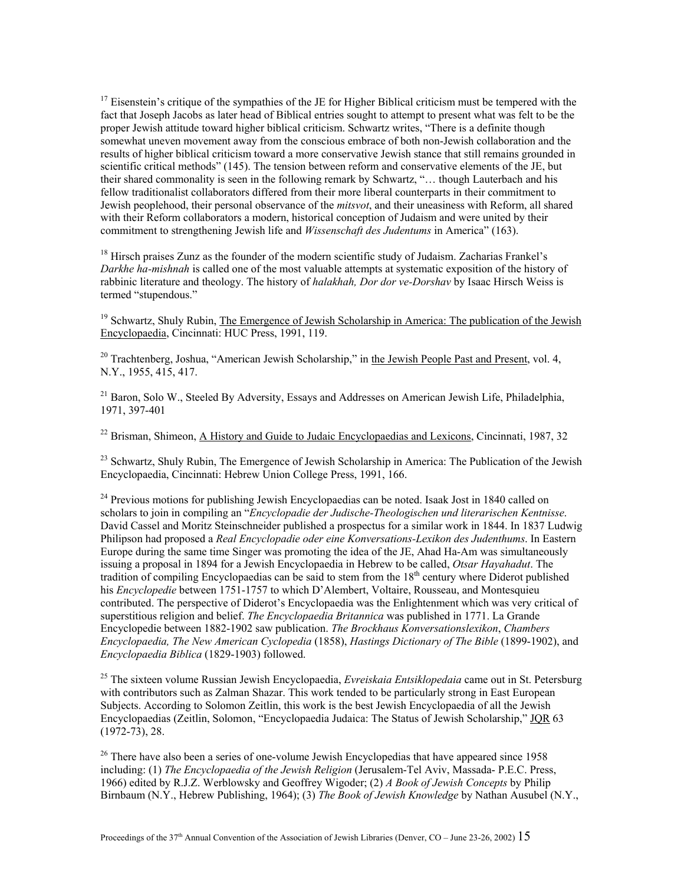<sup>17</sup> Eisenstein's critique of the sympathies of the JE for Higher Biblical criticism must be tempered with the fact that Joseph Jacobs as later head of Biblical entries sought to attempt to present what was felt to be the proper Jewish attitude toward higher biblical criticism. Schwartz writes, "There is a definite though somewhat uneven movement away from the conscious embrace of both non-Jewish collaboration and the results of higher biblical criticism toward a more conservative Jewish stance that still remains grounded in scientific critical methods" (145). The tension between reform and conservative elements of the JE, but their shared commonality is seen in the following remark by Schwartz, "… though Lauterbach and his fellow traditionalist collaborators differed from their more liberal counterparts in their commitment to Jewish peoplehood, their personal observance of the *mitsvot*, and their uneasiness with Reform, all shared with their Reform collaborators a modern, historical conception of Judaism and were united by their commitment to strengthening Jewish life and *Wissenschaft des Judentums* in America" (163).

 $<sup>18</sup>$  Hirsch praises Zunz as the founder of the modern scientific study of Judaism. Zacharias Frankel's</sup> *Darkhe ha-mishnah* is called one of the most valuable attempts at systematic exposition of the history of rabbinic literature and theology. The history of *halakhah, Dor dor ve-Dorshav* by Isaac Hirsch Weiss is termed "stupendous."

<sup>19</sup> Schwartz, Shuly Rubin, The Emergence of Jewish Scholarship in America: The publication of the Jewish Encyclopaedia, Cincinnati: HUC Press, 1991, 119.

 $20$  Trachtenberg, Joshua, "American Jewish Scholarship," in the Jewish People Past and Present, vol. 4, N.Y., 1955, 415, 417.

 $21$  Baron, Solo W., Steeled By Adversity, Essays and Addresses on American Jewish Life, Philadelphia, 1971, 397-401

 $22$  Brisman, Shimeon, A History and Guide to Judaic Encyclopaedias and Lexicons, Cincinnati, 1987, 32

<sup>23</sup> Schwartz, Shuly Rubin, The Emergence of Jewish Scholarship in America: The Publication of the Jewish Encyclopaedia, Cincinnati: Hebrew Union College Press, 1991, 166.

 $24$  Previous motions for publishing Jewish Encyclopaedias can be noted. Isaak Jost in 1840 called on scholars to join in compiling an "*Encyclopadie der Judische-Theologischen und literarischen Kentnisse*. David Cassel and Moritz Steinschneider published a prospectus for a similar work in 1844. In 1837 Ludwig Philipson had proposed a *Real Encyclopadie oder eine Konversations-Lexikon des Judenthums*. In Eastern Europe during the same time Singer was promoting the idea of the JE, Ahad Ha-Am was simultaneously issuing a proposal in 1894 for a Jewish Encyclopaedia in Hebrew to be called, *Otsar Hayahadut*. The tradition of compiling Encyclopaedias can be said to stem from the 18<sup>th</sup> century where Diderot published his *Encyclopedie* between 1751-1757 to which D'Alembert, Voltaire, Rousseau, and Montesquieu contributed. The perspective of Diderot's Encyclopaedia was the Enlightenment which was very critical of superstitious religion and belief. *The Encyclopaedia Britannica* was published in 1771. La Grande Encyclopedie between 1882-1902 saw publication. *The Brockhaus Konversationslexikon*, *Chambers Encyclopaedia, The New American Cyclopedia* (1858), *Hastings Dictionary of The Bible* (1899-1902), and *Encyclopaedia Biblica* (1829-1903) followed.

25 The sixteen volume Russian Jewish Encyclopaedia, *Evreiskaia Entsiklopedaia* came out in St. Petersburg with contributors such as Zalman Shazar. This work tended to be particularly strong in East European Subjects. According to Solomon Zeitlin, this work is the best Jewish Encyclopaedia of all the Jewish Encyclopaedias (Zeitlin, Solomon, "Encyclopaedia Judaica: The Status of Jewish Scholarship," JQR 63 (1972-73), 28.

<sup>26</sup> There have also been a series of one-volume Jewish Encyclopedias that have appeared since 1958 including: (1) *The Encyclopaedia of the Jewish Religion* (Jerusalem-Tel Aviv, Massada- P.E.C. Press, 1966) edited by R.J.Z. Werblowsky and Geoffrey Wigoder; (2) *A Book of Jewish Concepts* by Philip Birnbaum (N.Y., Hebrew Publishing, 1964); (3) *The Book of Jewish Knowledge* by Nathan Ausubel (N.Y.,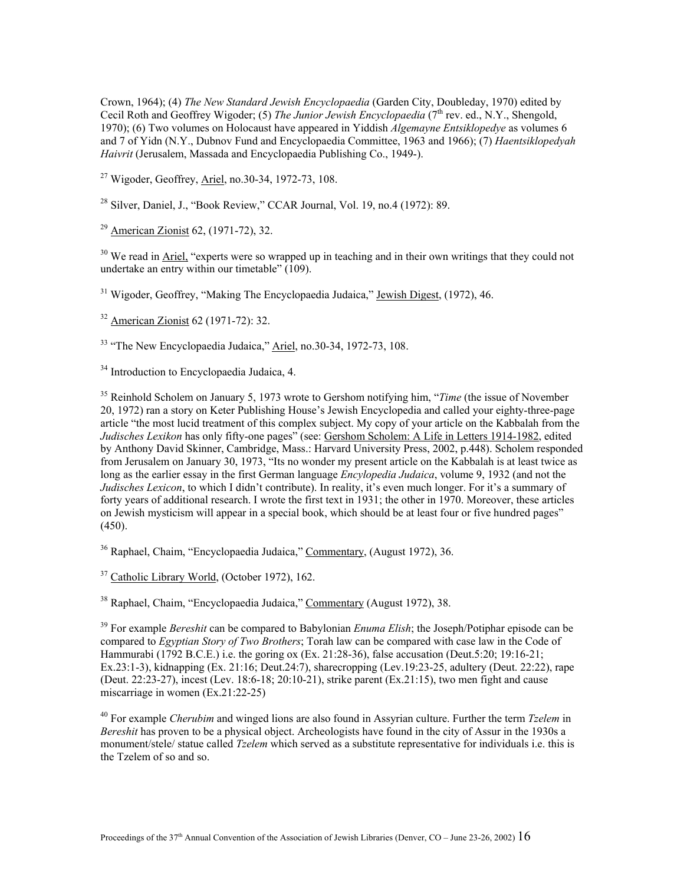Crown, 1964); (4) *The New Standard Jewish Encyclopaedia* (Garden City, Doubleday, 1970) edited by Cecil Roth and Geoffrey Wigoder; (5) *The Junior Jewish Encyclopaedia* ( $7<sup>th</sup>$  rev. ed., N.Y., Shengold, 1970); (6) Two volumes on Holocaust have appeared in Yiddish *Algemayne Entsiklopedye* as volumes 6 and 7 of Yidn (N.Y., Dubnov Fund and Encyclopaedia Committee, 1963 and 1966); (7) *Haentsiklopedyah Haivrit* (Jerusalem, Massada and Encyclopaedia Publishing Co., 1949-).

27 Wigoder, Geoffrey, Ariel, no.30-34, 1972-73, 108.

<sup>28</sup> Silver, Daniel, J., "Book Review," CCAR Journal, Vol. 19, no.4 (1972): 89.

29 American Zionist 62, (1971-72), 32.

 $30$  We read in Ariel, "experts were so wrapped up in teaching and in their own writings that they could not undertake an entry within our timetable" (109).

<sup>31</sup> Wigoder, Geoffrey, "Making The Encyclopaedia Judaica," Jewish Digest, (1972), 46.

32 American Zionist 62 (1971-72): 32.

<sup>33</sup> "The New Encyclopaedia Judaica," Ariel, no. 30-34, 1972-73, 108.

<sup>34</sup> Introduction to Encyclopaedia Judaica, 4.

35 Reinhold Scholem on January 5, 1973 wrote to Gershom notifying him, "*Time* (the issue of November 20, 1972) ran a story on Keter Publishing House's Jewish Encyclopedia and called your eighty-three-page article "the most lucid treatment of this complex subject. My copy of your article on the Kabbalah from the *Judisches Lexikon* has only fifty-one pages" (see: Gershom Scholem: A Life in Letters 1914-1982, edited by Anthony David Skinner, Cambridge, Mass.: Harvard University Press, 2002, p.448). Scholem responded from Jerusalem on January 30, 1973, "Its no wonder my present article on the Kabbalah is at least twice as long as the earlier essay in the first German language *Encylopedia Judaica*, volume 9, 1932 (and not the *Judisches Lexicon*, to which I didn't contribute). In reality, it's even much longer. For it's a summary of forty years of additional research. I wrote the first text in 1931; the other in 1970. Moreover, these articles on Jewish mysticism will appear in a special book, which should be at least four or five hundred pages" (450).

36 Raphael, Chaim, "Encyclopaedia Judaica," Commentary, (August 1972), 36.

37 Catholic Library World, (October 1972), 162.

38 Raphael, Chaim, "Encyclopaedia Judaica," Commentary (August 1972), 38.

<sup>39</sup> For example *Bereshit* can be compared to Babylonian *Enuma Elish*: the Joseph/Potiphar episode can be compared to *Egyptian Story of Two Brothers*; Torah law can be compared with case law in the Code of Hammurabi (1792 B.C.E.) i.e. the goring ox (Ex. 21:28-36), false accusation (Deut.5:20; 19:16-21; Ex.23:1-3), kidnapping (Ex. 21:16; Deut.24:7), sharecropping (Lev.19:23-25, adultery (Deut. 22:22), rape (Deut. 22:23-27), incest (Lev. 18:6-18; 20:10-21), strike parent (Ex.21:15), two men fight and cause miscarriage in women (Ex.21:22-25)

40 For example *Cherubim* and winged lions are also found in Assyrian culture. Further the term *Tzelem* in *Bereshit* has proven to be a physical object. Archeologists have found in the city of Assur in the 1930s a monument/stele/ statue called *Tzelem* which served as a substitute representative for individuals i.e. this is the Tzelem of so and so.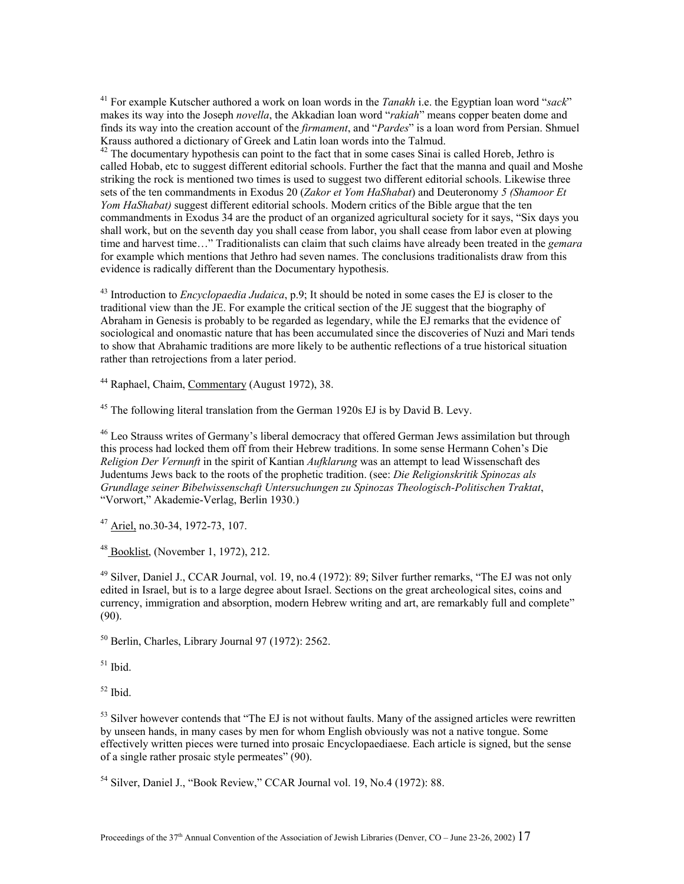41 For example Kutscher authored a work on loan words in the *Tanakh* i.e. the Egyptian loan word "*sack*" makes its way into the Joseph *novella*, the Akkadian loan word "*rakiah*" means copper beaten dome and finds its way into the creation account of the *firmament*, and "*Pardes*" is a loan word from Persian. Shmuel Krauss authored a dictionary of Greek and Latin loan words into the Talmud.<br><sup>42</sup> The documentary hypothesis can point to the fact that in some cases Sinai is called Horeb, Jethro is

called Hobab, etc to suggest different editorial schools. Further the fact that the manna and quail and Moshe striking the rock is mentioned two times is used to suggest two different editorial schools. Likewise three sets of the ten commandments in Exodus 20 (*Zakor et Yom HaShabat*) and Deuteronomy *5 (Shamoor Et Yom HaShabat)* suggest different editorial schools. Modern critics of the Bible argue that the ten commandments in Exodus 34 are the product of an organized agricultural society for it says, "Six days you shall work, but on the seventh day you shall cease from labor, you shall cease from labor even at plowing time and harvest time…" Traditionalists can claim that such claims have already been treated in the *gemara* for example which mentions that Jethro had seven names. The conclusions traditionalists draw from this evidence is radically different than the Documentary hypothesis.

43 Introduction to *Encyclopaedia Judaica*, p.9; It should be noted in some cases the EJ is closer to the traditional view than the JE. For example the critical section of the JE suggest that the biography of Abraham in Genesis is probably to be regarded as legendary, while the EJ remarks that the evidence of sociological and onomastic nature that has been accumulated since the discoveries of Nuzi and Mari tends to show that Abrahamic traditions are more likely to be authentic reflections of a true historical situation rather than retrojections from a later period.

44 Raphael, Chaim, Commentary (August 1972), 38.

<sup>45</sup> The following literal translation from the German 1920s EJ is by David B. Levy.

<sup>46</sup> Leo Strauss writes of Germany's liberal democracy that offered German Jews assimilation but through this process had locked them off from their Hebrew traditions. In some sense Hermann Cohen's Die *Religion Der Vernunft* in the spirit of Kantian *Aufklarung* was an attempt to lead Wissenschaft des Judentums Jews back to the roots of the prophetic tradition. (see: *Die Religionskritik Spinozas als Grundlage seiner Bibelwissenschaft Untersuchungen zu Spinozas Theologisch-Politischen Traktat*, "Vorwort," Akademie-Verlag, Berlin 1930.)

47 Ariel, no.30-34, 1972-73, 107.

48 Booklist, (November 1, 1972), 212.

<sup>49</sup> Silver, Daniel J., CCAR Journal, vol. 19, no.4 (1972): 89; Silver further remarks, "The EJ was not only edited in Israel, but is to a large degree about Israel. Sections on the great archeological sites, coins and currency, immigration and absorption, modern Hebrew writing and art, are remarkably full and complete" (90).

 $50$  Berlin, Charles, Library Journal 97 (1972): 2562.

 $51$  Ibid.

 $52$  Ibid.

 $53$  Silver however contends that "The EJ is not without faults. Many of the assigned articles were rewritten by unseen hands, in many cases by men for whom English obviously was not a native tongue. Some effectively written pieces were turned into prosaic Encyclopaediaese. Each article is signed, but the sense of a single rather prosaic style permeates" (90).

54 Silver, Daniel J., "Book Review," CCAR Journal vol. 19, No.4 (1972): 88.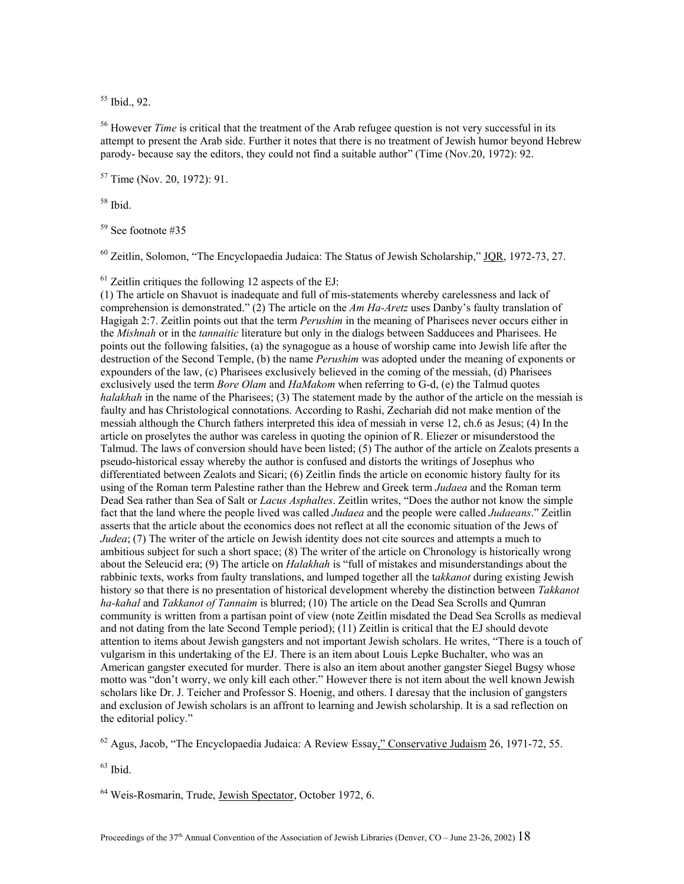55 Ibid., 92.

<sup>56</sup> However *Time* is critical that the treatment of the Arab refugee question is not very successful in its attempt to present the Arab side. Further it notes that there is no treatment of Jewish humor beyond Hebrew parody- because say the editors, they could not find a suitable author" (Time (Nov.20, 1972): 92.

57 Time (Nov. 20, 1972): 91.

58 Ibid.

<sup>59</sup> See footnote #35

60 Zeitlin, Solomon, "The Encyclopaedia Judaica: The Status of Jewish Scholarship," JQR, 1972-73, 27.

 $<sup>61</sup>$  Zeitlin critiques the following 12 aspects of the EJ:</sup>

(1) The article on Shavuot is inadequate and full of mis-statements whereby carelessness and lack of comprehension is demonstrated." (2) The article on the *Am Ha-Aretz* uses Danby's faulty translation of Hagigah 2:7. Zeitlin points out that the term *Perushim* in the meaning of Pharisees never occurs either in the *Mishnah* or in the *tannaitic* literature but only in the dialogs between Sadducees and Pharisees. He points out the following falsities, (a) the synagogue as a house of worship came into Jewish life after the destruction of the Second Temple, (b) the name *Perushim* was adopted under the meaning of exponents or expounders of the law, (c) Pharisees exclusively believed in the coming of the messiah, (d) Pharisees exclusively used the term *Bore Olam* and *HaMakom* when referring to G-d, (e) the Talmud quotes *halakhah* in the name of the Pharisees; (3) The statement made by the author of the article on the messiah is faulty and has Christological connotations. According to Rashi, Zechariah did not make mention of the messiah although the Church fathers interpreted this idea of messiah in verse 12, ch.6 as Jesus; (4) In the article on proselytes the author was careless in quoting the opinion of R. Eliezer or misunderstood the Talmud. The laws of conversion should have been listed; (5) The author of the article on Zealots presents a pseudo-historical essay whereby the author is confused and distorts the writings of Josephus who differentiated between Zealots and Sicari; (6) Zeitlin finds the article on economic history faulty for its using of the Roman term Palestine rather than the Hebrew and Greek term *Judaea* and the Roman term Dead Sea rather than Sea of Salt or *Lacus Asphaltes*. Zeitlin writes, "Does the author not know the simple fact that the land where the people lived was called *Judaea* and the people were called *Judaeans*." Zeitlin asserts that the article about the economics does not reflect at all the economic situation of the Jews of *Judea*; (7) The writer of the article on Jewish identity does not cite sources and attempts a much to ambitious subject for such a short space; (8) The writer of the article on Chronology is historically wrong about the Seleucid era; (9) The article on *Halakhah* is "full of mistakes and misunderstandings about the rabbinic texts, works from faulty translations, and lumped together all the t*akkanot* during existing Jewish history so that there is no presentation of historical development whereby the distinction between *Takkanot ha-kahal* and *Takkanot of Tannaim* is blurred; (10) The article on the Dead Sea Scrolls and Qumran community is written from a partisan point of view (note Zeitlin misdated the Dead Sea Scrolls as medieval and not dating from the late Second Temple period); (11) Zeitlin is critical that the EJ should devote attention to items about Jewish gangsters and not important Jewish scholars. He writes, "There is a touch of vulgarism in this undertaking of the EJ. There is an item about Louis Lepke Buchalter, who was an American gangster executed for murder. There is also an item about another gangster Siegel Bugsy whose motto was "don't worry, we only kill each other." However there is not item about the well known Jewish scholars like Dr. J. Teicher and Professor S. Hoenig, and others. I daresay that the inclusion of gangsters and exclusion of Jewish scholars is an affront to learning and Jewish scholarship. It is a sad reflection on the editorial policy."

 $62$  Agus, Jacob, "The Encyclopaedia Judaica: A Review Essay," Conservative Judaism 26, 1971-72, 55.

 $63$  Ibid.

64 Weis-Rosmarin, Trude, Jewish Spectator, October 1972, 6.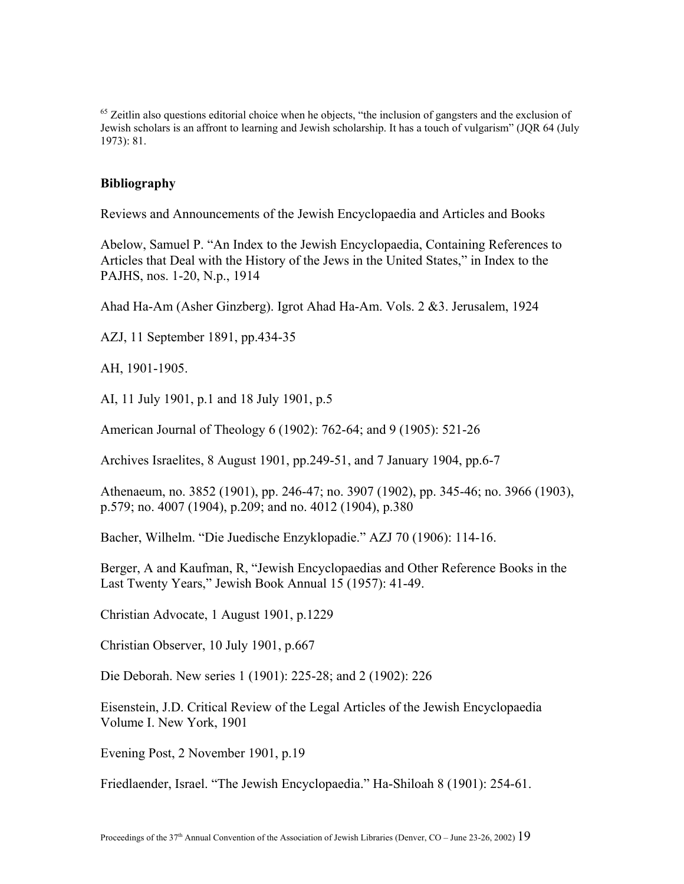$<sup>65</sup>$  Zeitlin also questions editorial choice when he objects, "the inclusion of gangsters and the exclusion of</sup> Jewish scholars is an affront to learning and Jewish scholarship. It has a touch of vulgarism" (JQR 64 (July 1973): 81.

#### **Bibliography**

Reviews and Announcements of the Jewish Encyclopaedia and Articles and Books

Abelow, Samuel P. "An Index to the Jewish Encyclopaedia, Containing References to Articles that Deal with the History of the Jews in the United States," in Index to the PAJHS, nos. 1-20, N.p., 1914

Ahad Ha-Am (Asher Ginzberg). Igrot Ahad Ha-Am. Vols. 2 &3. Jerusalem, 1924

AZJ, 11 September 1891, pp.434-35

AH, 1901-1905.

AI, 11 July 1901, p.1 and 18 July 1901, p.5

American Journal of Theology 6 (1902): 762-64; and 9 (1905): 521-26

Archives Israelites, 8 August 1901, pp.249-51, and 7 January 1904, pp.6-7

Athenaeum, no. 3852 (1901), pp. 246-47; no. 3907 (1902), pp. 345-46; no. 3966 (1903), p.579; no. 4007 (1904), p.209; and no. 4012 (1904), p.380

Bacher, Wilhelm. "Die Juedische Enzyklopadie." AZJ 70 (1906): 114-16.

Berger, A and Kaufman, R, "Jewish Encyclopaedias and Other Reference Books in the Last Twenty Years," Jewish Book Annual 15 (1957): 41-49.

Christian Advocate, 1 August 1901, p.1229

Christian Observer, 10 July 1901, p.667

Die Deborah. New series 1 (1901): 225-28; and 2 (1902): 226

Eisenstein, J.D. Critical Review of the Legal Articles of the Jewish Encyclopaedia Volume I. New York, 1901

Evening Post, 2 November 1901, p.19

Friedlaender, Israel. "The Jewish Encyclopaedia." Ha-Shiloah 8 (1901): 254-61.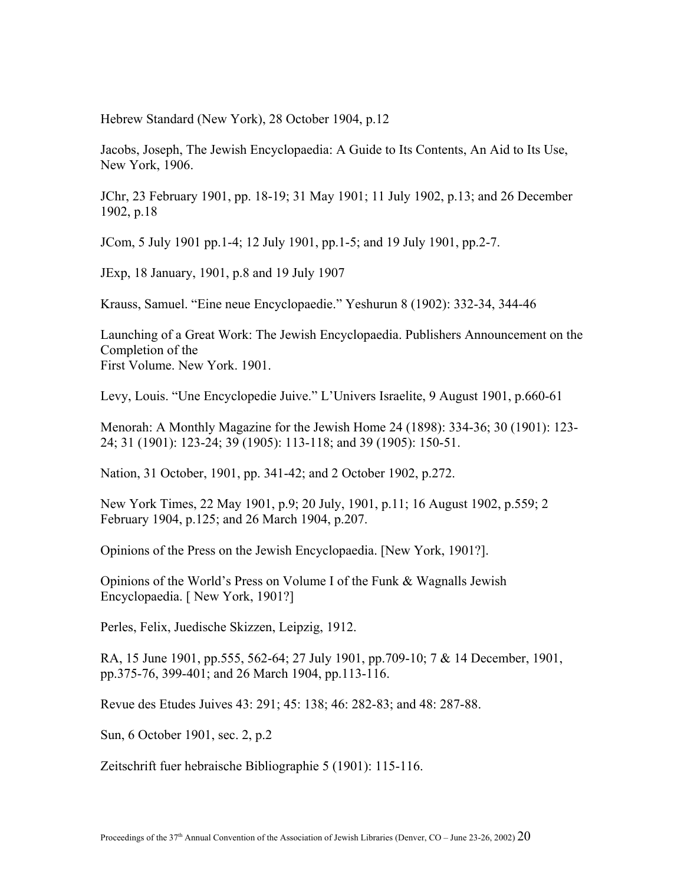Hebrew Standard (New York), 28 October 1904, p.12

Jacobs, Joseph, The Jewish Encyclopaedia: A Guide to Its Contents, An Aid to Its Use, New York, 1906.

JChr, 23 February 1901, pp. 18-19; 31 May 1901; 11 July 1902, p.13; and 26 December 1902, p.18

JCom, 5 July 1901 pp.1-4; 12 July 1901, pp.1-5; and 19 July 1901, pp.2-7.

JExp, 18 January, 1901, p.8 and 19 July 1907

Krauss, Samuel. "Eine neue Encyclopaedie." Yeshurun 8 (1902): 332-34, 344-46

Launching of a Great Work: The Jewish Encyclopaedia. Publishers Announcement on the Completion of the First Volume. New York. 1901.

Levy, Louis. "Une Encyclopedie Juive." L'Univers Israelite, 9 August 1901, p.660-61

Menorah: A Monthly Magazine for the Jewish Home 24 (1898): 334-36; 30 (1901): 123- 24; 31 (1901): 123-24; 39 (1905): 113-118; and 39 (1905): 150-51.

Nation, 31 October, 1901, pp. 341-42; and 2 October 1902, p.272.

New York Times, 22 May 1901, p.9; 20 July, 1901, p.11; 16 August 1902, p.559; 2 February 1904, p.125; and 26 March 1904, p.207.

Opinions of the Press on the Jewish Encyclopaedia. [New York, 1901?].

Opinions of the World's Press on Volume I of the Funk & Wagnalls Jewish Encyclopaedia. [ New York, 1901?]

Perles, Felix, Juedische Skizzen, Leipzig, 1912.

RA, 15 June 1901, pp.555, 562-64; 27 July 1901, pp.709-10; 7 & 14 December, 1901, pp.375-76, 399-401; and 26 March 1904, pp.113-116.

Revue des Etudes Juives 43: 291; 45: 138; 46: 282-83; and 48: 287-88.

Sun, 6 October 1901, sec. 2, p.2

Zeitschrift fuer hebraische Bibliographie 5 (1901): 115-116.